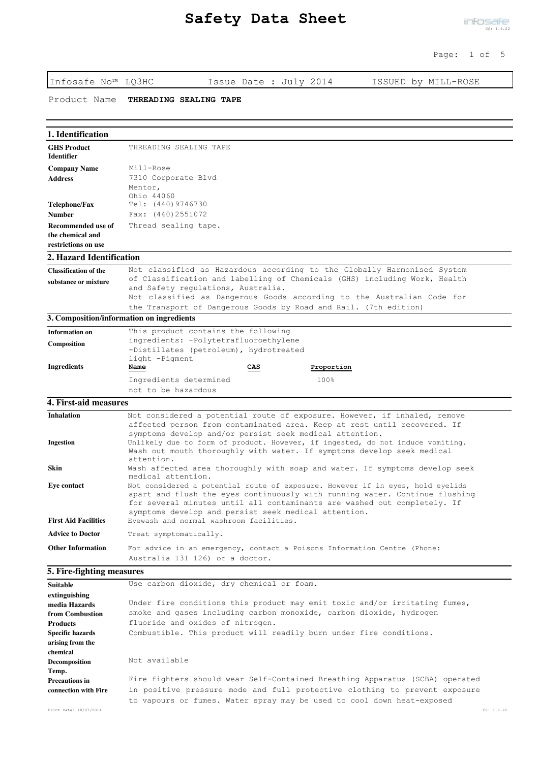Infosafe No™ LQ3HC Issue Date : July 2014 ISSUED by MILL-ROSE

Product Name **THREADING SEALING TAPE**

## **1. Identification**

| <b>GHS Product</b><br><b>Identifier</b> | THREADING SEALING TAPE           |  |  |
|-----------------------------------------|----------------------------------|--|--|
| <b>Company Name</b><br><b>Address</b>   | Mill-Rose<br>7310 Corporate Blvd |  |  |
|                                         | Mentor,<br>Ohio 44060            |  |  |
| Telephone/Fax                           | Tel: $(440)9746730$              |  |  |
| Number                                  | Fax: (440)2551072                |  |  |
| Recommended use of                      | Thread sealing tape.             |  |  |
| the chemical and                        |                                  |  |  |
| restrictions on use                     |                                  |  |  |

## **2. Hazard Identification**

| <b>Classification of the</b> | Not classified as Hazardous according to the Globally Harmonised System                                         |  |  |  |
|------------------------------|-----------------------------------------------------------------------------------------------------------------|--|--|--|
| substance or mixture         | of Classification and labelling of Chemicals (GHS) including Work, Health<br>and Safety regulations, Australia. |  |  |  |
|                              | Not classified as Dangerous Goods according to the Australian Code for                                          |  |  |  |
|                              | the Transport of Dangerous Goods by Road and Rail. (7th edition)                                                |  |  |  |

#### **3. Composition/information on ingredients**

| <b>Information on</b> | This product contains the following    |              |            |
|-----------------------|----------------------------------------|--------------|------------|
| Composition           | ingredients: -Polytetrafluoroethylene  |              |            |
|                       | -Distillates (petroleum), hydrotreated |              |            |
|                       | light -Pigment                         |              |            |
| Ingredients           | <u>Name</u>                            | $_{\rm CAS}$ | Proportion |
|                       | Ingredients determined                 |              | 100%       |
|                       | not to be hazardous                    |              |            |

## **4. First-aid measures**

| <b>Inhalation</b>           | Not considered a potential route of exposure. However, if inhaled, remove                                                                                                                                                                                                                         |
|-----------------------------|---------------------------------------------------------------------------------------------------------------------------------------------------------------------------------------------------------------------------------------------------------------------------------------------------|
|                             | affected person from contaminated area. Keep at rest until recovered. If                                                                                                                                                                                                                          |
|                             | symptoms develop and/or persist seek medical attention.                                                                                                                                                                                                                                           |
| <b>Ingestion</b>            | Unlikely due to form of product. However, if ingested, do not induce vomiting.                                                                                                                                                                                                                    |
|                             | Wash out mouth thoroughly with water. If symptoms develop seek medical                                                                                                                                                                                                                            |
|                             | attention.                                                                                                                                                                                                                                                                                        |
| <b>Skin</b>                 | Wash affected area thoroughly with soap and water. If symptoms develop seek<br>medical attention.                                                                                                                                                                                                 |
| Eye contact                 | Not considered a potential route of exposure. However if in eyes, hold eyelids<br>apart and flush the eyes continuously with running water. Continue flushing<br>for several minutes until all contaminants are washed out completely. If<br>symptoms develop and persist seek medical attention. |
| <b>First Aid Facilities</b> | Eyewash and normal washroom facilities.                                                                                                                                                                                                                                                           |
| <b>Advice to Doctor</b>     | Treat symptomatically.                                                                                                                                                                                                                                                                            |
| <b>Other Information</b>    | For advice in an emergency, contact a Poisons Information Centre (Phone:<br>Australia 131 126) or a doctor.                                                                                                                                                                                       |

## **5. Fire-fighting measures**

| <b>Suitable</b>         | Use carbon dioxide, dry chemical or foam.                                    |  |  |
|-------------------------|------------------------------------------------------------------------------|--|--|
| extinguishing           |                                                                              |  |  |
| media Hazards           | Under fire conditions this product may emit toxic and/or irritating fumes,   |  |  |
| from Combustion         | smoke and gases including carbon monoxide, carbon dioxide, hydrogen          |  |  |
| <b>Products</b>         | fluoride and oxides of nitrogen.                                             |  |  |
| <b>Specific hazards</b> | Combustible. This product will readily burn under fire conditions.           |  |  |
| arising from the        |                                                                              |  |  |
| chemical                |                                                                              |  |  |
| Decomposition           | Not available                                                                |  |  |
| Temp.                   |                                                                              |  |  |
| <b>Precautions in</b>   | Fire fighters should wear Self-Contained Breathing Apparatus (SCBA) operated |  |  |
| connection with Fire    | in positive pressure mode and full protective clothing to prevent exposure   |  |  |
|                         | to vapours or fumes. Water spray may be used to cool down heat-exposed       |  |  |
| Print Date: 10/07/2014  | CS: 1.9.22                                                                   |  |  |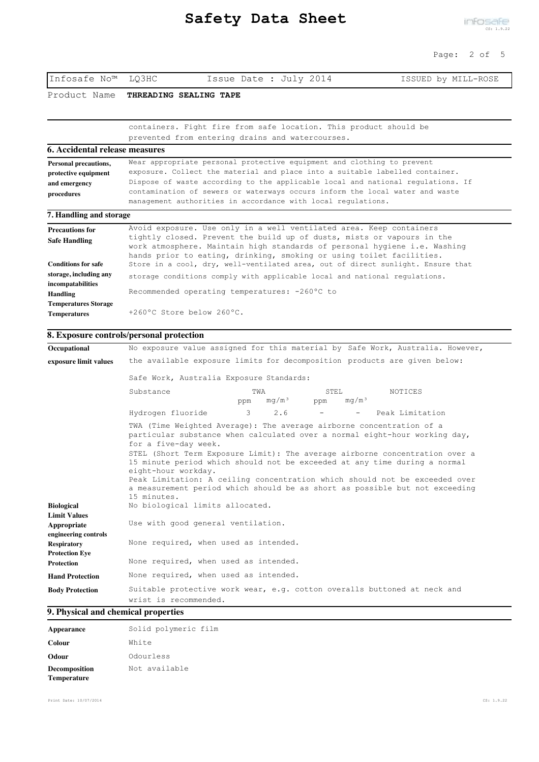Infosafe No™ LQ3HC Issue Date : July 2014 ISSUED by MILL-ROSE

|                                             | Product Name THREADING SEALING TAPE                                                                                                                     |  |  |
|---------------------------------------------|---------------------------------------------------------------------------------------------------------------------------------------------------------|--|--|
|                                             |                                                                                                                                                         |  |  |
|                                             | containers. Fight fire from safe location. This product should be                                                                                       |  |  |
|                                             | prevented from entering drains and watercourses.                                                                                                        |  |  |
| 6. Accidental release measures              |                                                                                                                                                         |  |  |
| <b>Personal precautions,</b>                | Wear appropriate personal protective equipment and clothing to prevent                                                                                  |  |  |
| protective equipment                        | exposure. Collect the material and place into a suitable labelled container.                                                                            |  |  |
| and emergency                               | Dispose of waste according to the applicable local and national regulations. If                                                                         |  |  |
| procedures                                  | contamination of sewers or waterways occurs inform the local water and waste                                                                            |  |  |
|                                             | management authorities in accordance with local regulations.                                                                                            |  |  |
| 7. Handling and storage                     |                                                                                                                                                         |  |  |
| <b>Precautions for</b>                      | Avoid exposure. Use only in a well ventilated area. Keep containers                                                                                     |  |  |
| <b>Safe Handling</b>                        | tightly closed. Prevent the build up of dusts, mists or vapours in the                                                                                  |  |  |
|                                             | work atmosphere. Maintain high standards of personal hygiene i.e. Washing                                                                               |  |  |
| <b>Conditions for safe</b>                  | hands prior to eating, drinking, smoking or using toilet facilities.<br>Store in a cool, dry, well-ventilated area, out of direct sunlight. Ensure that |  |  |
|                                             |                                                                                                                                                         |  |  |
| storage, including any<br>incompatabilities | storage conditions comply with applicable local and national regulations.                                                                               |  |  |
| Handling                                    | Recommended operating temperatures: -260°C to                                                                                                           |  |  |
| <b>Temperatures Storage</b>                 |                                                                                                                                                         |  |  |
| <b>Temperatures</b>                         | $+260^{\circ}$ C Store below 260 $^{\circ}$ C.                                                                                                          |  |  |
|                                             | 8. Exposure controls/personal protection                                                                                                                |  |  |
|                                             | No exposure value assigned for this material by Safe Work, Australia. However,                                                                          |  |  |
| Occupational                                |                                                                                                                                                         |  |  |
| exposure limit values                       | the available exposure limits for decomposition products are given below:                                                                               |  |  |

| слрозите пппи values                                                | , che available choodale limito loi accompositichi prodacto alven belew:                          |                                                                                                                                                                                                                                                                                                                                                                                                                                                                             |                                   |                 |  |
|---------------------------------------------------------------------|---------------------------------------------------------------------------------------------------|-----------------------------------------------------------------------------------------------------------------------------------------------------------------------------------------------------------------------------------------------------------------------------------------------------------------------------------------------------------------------------------------------------------------------------------------------------------------------------|-----------------------------------|-----------------|--|
|                                                                     | Safe Work, Australia Exposure Standards:                                                          |                                                                                                                                                                                                                                                                                                                                                                                                                                                                             |                                   |                 |  |
|                                                                     | Substance                                                                                         | TWA<br>mq/m <sup>3</sup><br>ppm                                                                                                                                                                                                                                                                                                                                                                                                                                             | STEL.<br>mq/m <sup>3</sup><br>ppm | NOTICES         |  |
|                                                                     | Hydrogen fluoride                                                                                 | $\mathcal{R}$<br>2.6                                                                                                                                                                                                                                                                                                                                                                                                                                                        | $\sim$ 100 $\mu$                  | Peak Limitation |  |
| Biological<br><b>Limit Values</b>                                   | for a five-day week.<br>eight-hour workday.<br>15 minutes.<br>No biological limits allocated.     | TWA (Time Weighted Average): The average airborne concentration of a<br>particular substance when calculated over a normal eight-hour working day,<br>STEL (Short Term Exposure Limit): The average airborne concentration over a<br>15 minute period which should not be exceeded at any time during a normal<br>Peak Limitation: A ceiling concentration which should not be exceeded over<br>a measurement period which should be as short as possible but not exceeding |                                   |                 |  |
| Appropriate                                                         | Use with good general ventilation.                                                                |                                                                                                                                                                                                                                                                                                                                                                                                                                                                             |                                   |                 |  |
| engineering controls<br><b>Respiratory</b><br><b>Protection Eve</b> | None required, when used as intended.                                                             |                                                                                                                                                                                                                                                                                                                                                                                                                                                                             |                                   |                 |  |
| <b>Protection</b>                                                   | None required, when used as intended.                                                             |                                                                                                                                                                                                                                                                                                                                                                                                                                                                             |                                   |                 |  |
| <b>Hand Protection</b>                                              | None required, when used as intended.                                                             |                                                                                                                                                                                                                                                                                                                                                                                                                                                                             |                                   |                 |  |
| <b>Body Protection</b>                                              | Suitable protective work wear, e.g. cotton overalls buttoned at neck and<br>wrist is recommended. |                                                                                                                                                                                                                                                                                                                                                                                                                                                                             |                                   |                 |  |

# **9. Physical and chemical properties**

| Appearance                   | Solid polymeric film |
|------------------------------|----------------------|
| Colour                       | White                |
| Odour                        | Odourless            |
| Decomposition<br>Temperature | Not available        |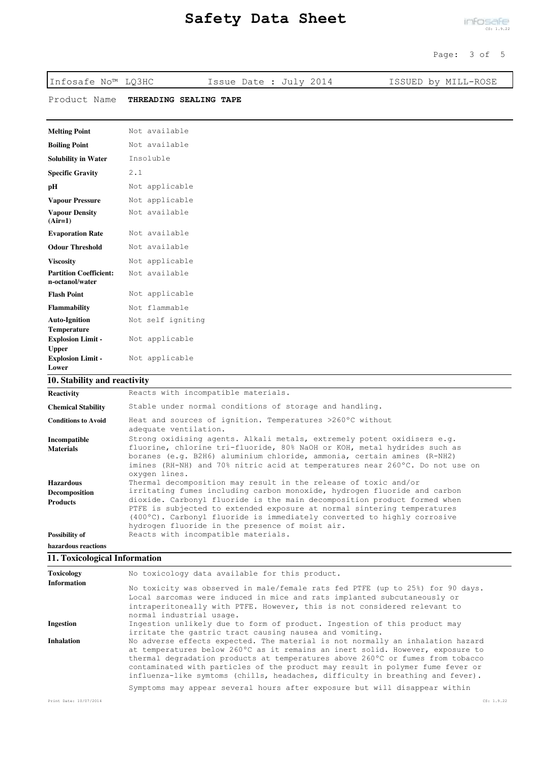| Infosafe No™ LQ3HC                               | Issue Date : July 2014 | ISSUED by MILL-ROSE |
|--------------------------------------------------|------------------------|---------------------|
| Product Name                                     | THREADING SEALING TAPE |                     |
| <b>Melting Point</b>                             | Not available          |                     |
| <b>Boiling Point</b>                             | Not available          |                     |
| <b>Solubility in Water</b>                       | Insoluble              |                     |
| <b>Specific Gravity</b>                          | 2.1                    |                     |
| pН                                               | Not applicable         |                     |
| <b>Vapour Pressure</b>                           | Not applicable         |                     |
| <b>Vapour Density</b><br>$(Air=1)$               | Not available          |                     |
| <b>Evaporation Rate</b>                          | Not available          |                     |
| <b>Odour Threshold</b>                           | Not available          |                     |
| <b>Viscosity</b>                                 | Not applicable         |                     |
| <b>Partition Coefficient:</b><br>n-octanol/water | Not available          |                     |
| <b>Flash Point</b>                               | Not applicable         |                     |
| <b>Flammability</b>                              | Not flammable          |                     |
| <b>Auto-Ignition</b><br><b>Temperature</b>       | Not self igniting      |                     |
| <b>Explosion Limit -</b><br><b>Upper</b>         | Not applicable         |                     |
| <b>Explosion Limit -</b><br>Lower                | Not applicable         |                     |

## **10. Stability and reactivity**

| <b>Reactivity</b>          | Reacts with incompatible materials.                                                                                                                                                                                                                                               |  |  |
|----------------------------|-----------------------------------------------------------------------------------------------------------------------------------------------------------------------------------------------------------------------------------------------------------------------------------|--|--|
| <b>Chemical Stability</b>  | Stable under normal conditions of storage and handling.                                                                                                                                                                                                                           |  |  |
| <b>Conditions to Avoid</b> | Heat and sources of ignition. Temperatures >260°C without<br>adequate ventilation.                                                                                                                                                                                                |  |  |
| Incompatible               | Strong oxidising agents. Alkali metals, extremely potent oxidisers e.g.                                                                                                                                                                                                           |  |  |
| <b>Materials</b>           | fluorine, chlorine tri-fluoride, 80% NaOH or KOH, metal hydrides such as<br>boranes (e.g. B2H6) aluminium chloride, ammonia, certain amines (R-NH2)<br>imines (RH-NH) and 70% nitric acid at temperatures near 260°C. Do not use on<br>oxygen lines.                              |  |  |
| <b>Hazardous</b>           | Thermal decomposition may result in the release of toxic and/or                                                                                                                                                                                                                   |  |  |
| <b>Decomposition</b>       | irritating fumes including carbon monoxide, hydrogen fluoride and carbon                                                                                                                                                                                                          |  |  |
| <b>Products</b>            | dioxide. Carbonyl fluoride is the main decomposition product formed when<br>PTFE is subjected to extended exposure at normal sintering temperatures<br>(400°C). Carbonyl fluoride is immediately converted to highly corrosive<br>hydrogen fluoride in the presence of moist air. |  |  |
| Possibility of             | Reacts with incompatible materials.                                                                                                                                                                                                                                               |  |  |
| hazardous reactions        |                                                                                                                                                                                                                                                                                   |  |  |

# **11. Toxicological Information**

| Toxicology<br>No toxicology data available for this product. |                                                                                                                                                                                                                                                                                                                                                                                                                        |            |
|--------------------------------------------------------------|------------------------------------------------------------------------------------------------------------------------------------------------------------------------------------------------------------------------------------------------------------------------------------------------------------------------------------------------------------------------------------------------------------------------|------------|
| <b>Information</b>                                           | No toxicity was observed in male/female rats fed PTFE (up to 25%) for 90 days.<br>Local sarcomas were induced in mice and rats implanted subcutaneously or<br>intraperitoneally with PTFE. However, this is not considered relevant to<br>normal industrial usage.                                                                                                                                                     |            |
| <b>Ingestion</b>                                             | Ingestion unlikely due to form of product. Ingestion of this product may<br>irritate the qastric tract causing nausea and vomiting.                                                                                                                                                                                                                                                                                    |            |
| <b>Inhalation</b>                                            | No adverse effects expected. The material is not normally an inhalation hazard<br>at temperatures below 260°C as it remains an inert solid. However, exposure to<br>thermal degradation products at temperatures above 260°C or fumes from tobacco<br>contaminated with particles of the product may result in polymer fume fever or<br>influenza-like symtoms (chills, headaches, difficulty in breathing and fever). |            |
|                                                              | Symptoms may appear several hours after exposure but will disappear within                                                                                                                                                                                                                                                                                                                                             |            |
| Print Date: 10/07/2014                                       |                                                                                                                                                                                                                                                                                                                                                                                                                        | CS: 1.9.22 |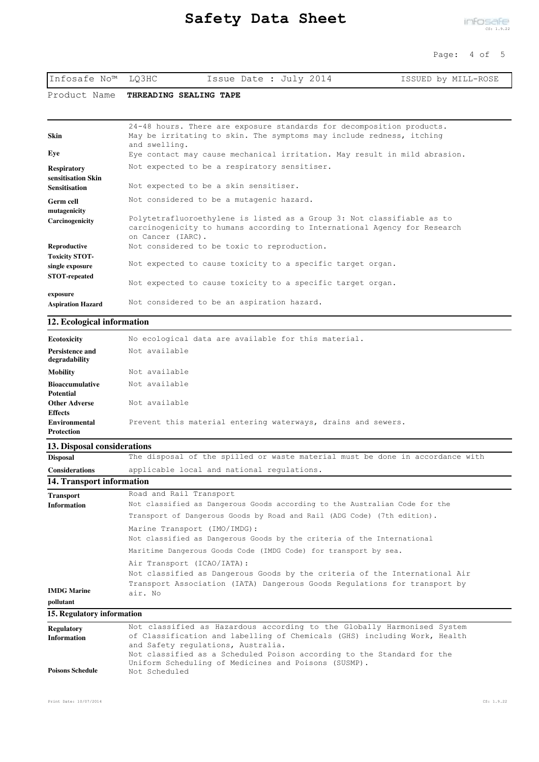| Infosafe No™ LQ3HC | Issue Date : July 2014 | ISSUED by MILL-ROSE |
|--------------------|------------------------|---------------------|
|--------------------|------------------------|---------------------|

Product Name **THREADING SEALING TAPE**

| Skin                                     | 24-48 hours. There are exposure standards for decomposition products.<br>May be irritating to skin. The symptoms may include redness, itching<br>and swelling.          |
|------------------------------------------|-------------------------------------------------------------------------------------------------------------------------------------------------------------------------|
| Eye                                      | Eye contact may cause mechanical irritation. May result in mild abrasion.                                                                                               |
| <b>Respiratory</b><br>sensitisation Skin | Not expected to be a respiratory sensitiser.                                                                                                                            |
| <b>Sensitisation</b>                     | Not expected to be a skin sensitiser.                                                                                                                                   |
| <b>Germ cell</b><br>mutagenicity         | Not considered to be a mutagenic hazard.                                                                                                                                |
| Carcinogenicity                          | Polytetrafluoroethylene is listed as a Group 3: Not classifiable as to<br>carcinogenicity to humans according to International Agency for Research<br>on Cancer (IARC). |
| Reproductive                             | Not considered to be toxic to reproduction.                                                                                                                             |
| <b>Toxicity STOT-</b><br>single exposure | Not expected to cause toxicity to a specific target organ.                                                                                                              |
| <b>STOT-repeated</b>                     | Not expected to cause toxicity to a specific target organ.                                                                                                              |
| exposure                                 | Not considered to be an aspiration hazard.                                                                                                                              |
| <b>Aspiration Hazard</b>                 |                                                                                                                                                                         |

#### **12. Ecological information**

| Ecotoxicity                      | No ecological data are available for this material.          |
|----------------------------------|--------------------------------------------------------------|
| Persistence and<br>degradability | Not available                                                |
| <b>Mobility</b>                  | Not available                                                |
| <b>Bioaccumulative</b>           | Not available                                                |
| <b>Potential</b>                 |                                                              |
| <b>Other Adverse</b>             | Not available                                                |
| <b>Effects</b>                   |                                                              |
| Environmental                    | Prevent this material entering waterways, drains and sewers. |
| <b>Protection</b>                |                                                              |

## **13. Disposal considerations**

| <b>Disposal</b>       | The disposal of the spilled or waste material must be done in accordance with |
|-----------------------|-------------------------------------------------------------------------------|
| <b>Considerations</b> | applicable local and national regulations.                                    |

## **14. Transport information**

| <b>Transport</b><br><b>Information</b> | Road and Rail Transport<br>Not classified as Dangerous Goods according to the Australian Code for the                                                                                            |
|----------------------------------------|--------------------------------------------------------------------------------------------------------------------------------------------------------------------------------------------------|
|                                        | Transport of Dangerous Goods by Road and Rail (ADG Code) (7th edition).                                                                                                                          |
|                                        | Marine Transport (IMO/IMDG):<br>Not classified as Dangerous Goods by the criteria of the International<br>Maritime Dangerous Goods Code (IMDG Code) for transport by sea.                        |
| <b>IMDG Marine</b>                     | Air Transport (ICAO/IATA):<br>Not classified as Dangerous Goods by the criteria of the International Air<br>Transport Association (IATA) Dangerous Goods Regulations for transport by<br>air. No |
| pollutant                              |                                                                                                                                                                                                  |
| 15. Regulatory information             |                                                                                                                                                                                                  |

| <b>Regulatory</b>       | Not classified as Hazardous according to the Globally Harmonised System   |
|-------------------------|---------------------------------------------------------------------------|
| <b>Information</b>      | of Classification and labelling of Chemicals (GHS) including Work, Health |
|                         | and Safety regulations, Australia.                                        |
|                         | Not classified as a Scheduled Poison according to the Standard for the    |
|                         | Uniform Scheduling of Medicines and Poisons (SUSMP).                      |
| <b>Poisons Schedule</b> | Not Scheduled                                                             |